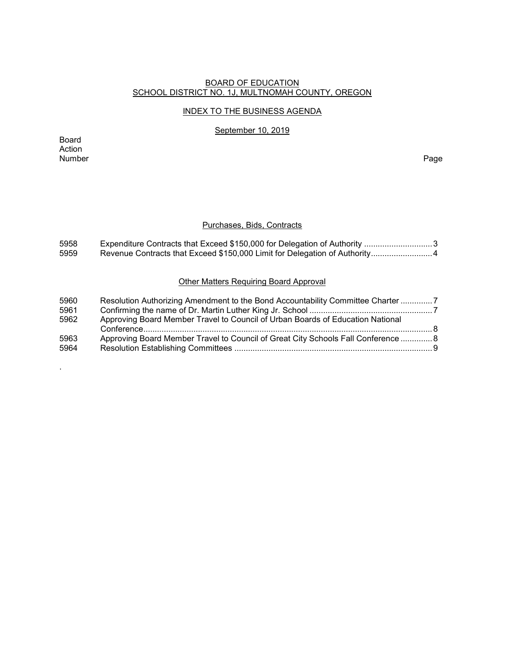#### BOARD OF EDUCATION SCHOOL DISTRICT NO. 1J, MULTNOMAH COUNTY, OREGON

#### INDEX TO THE BUSINESS AGENDA

September 10, 2019

Board Action<br>Number Number Page

.

#### Purchases, Bids, Contracts

| 5958        | Expenditure Contracts that Exceed \$150,000 for Delegation of Authority 3           |  |  |  |  |
|-------------|-------------------------------------------------------------------------------------|--|--|--|--|
| 5959        |                                                                                     |  |  |  |  |
|             |                                                                                     |  |  |  |  |
|             |                                                                                     |  |  |  |  |
|             | <b>Other Matters Requiring Board Approval</b>                                       |  |  |  |  |
|             |                                                                                     |  |  |  |  |
| <b>EOCO</b> | Decelution Authorizing Americanopeant to the Denal Accountability Committee Chapter |  |  |  |  |

| 5960 | Resolution Authorizing Amendment to the Bond Accountability Committee Charter 7   |  |
|------|-----------------------------------------------------------------------------------|--|
| 5961 |                                                                                   |  |
| 5962 | Approving Board Member Travel to Council of Urban Boards of Education National    |  |
| 5963 | Approving Board Member Travel to Council of Great City Schools Fall Conference  8 |  |
| 5964 |                                                                                   |  |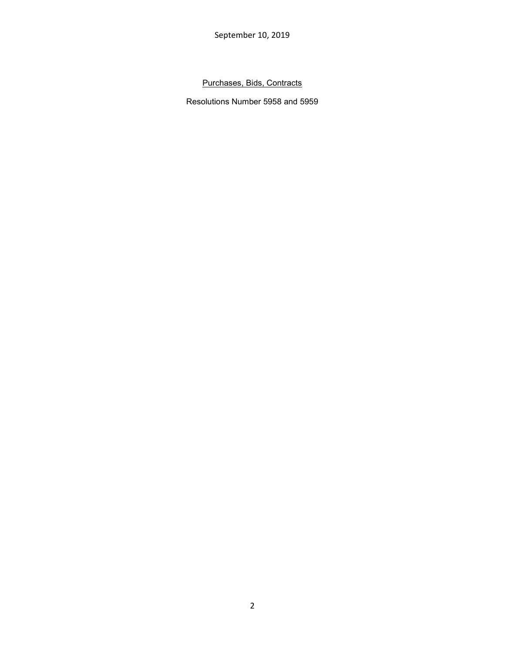September 10, 2019

Purchases, Bids, Contracts

Resolutions Number 5958 and 5959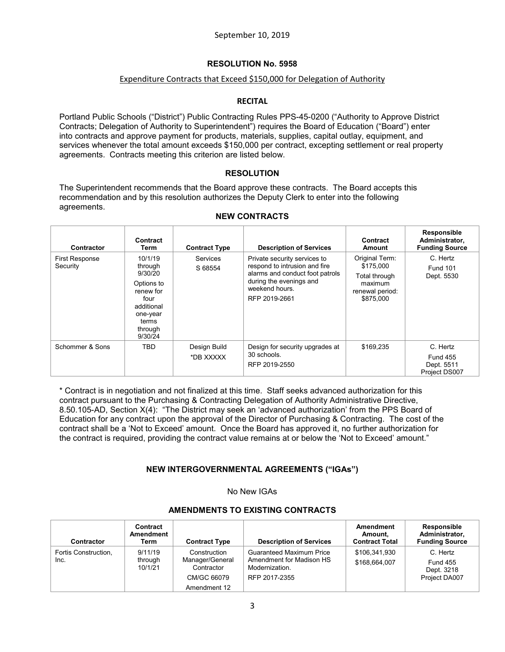# Expenditure Contracts that Exceed \$150,000 for Delegation of Authority

#### **RECITAL**

Portland Public Schools ("District") Public Contracting Rules PPS-45-0200 ("Authority to Approve District Contracts; Delegation of Authority to Superintendent") requires the Board of Education ("Board") enter into contracts and approve payment for products, materials, supplies, capital outlay, equipment, and services whenever the total amount exceeds \$150,000 per contract, excepting settlement or real property agreements. Contracts meeting this criterion are listed below.

#### **RESOLUTION**

The Superintendent recommends that the Board approve these contracts. The Board accepts this recommendation and by this resolution authorizes the Deputy Clerk to enter into the following agreements.

| <b>Contractor</b>                 | Contract<br>Term                                                                                                          | <b>Contract Type</b>       | <b>Description of Services</b>                                                                                                                                 | Contract<br>Amount                                                                      | Responsible<br>Administrator,<br><b>Funding Source</b>     |
|-----------------------------------|---------------------------------------------------------------------------------------------------------------------------|----------------------------|----------------------------------------------------------------------------------------------------------------------------------------------------------------|-----------------------------------------------------------------------------------------|------------------------------------------------------------|
| <b>First Response</b><br>Security | 10/1/19<br>through<br>9/30/20<br>Options to<br>renew for<br>four<br>additional<br>one-year<br>terms<br>through<br>9/30/24 | <b>Services</b><br>S 68554 | Private security services to<br>respond to intrusion and fire<br>alarms and conduct foot patrols<br>during the evenings and<br>weekend hours.<br>RFP 2019-2661 | Original Term:<br>\$175,000<br>Total through<br>maximum<br>renewal period:<br>\$875,000 | C. Hertz<br><b>Fund 101</b><br>Dept. 5530                  |
| Schommer & Sons                   | TBD                                                                                                                       | Design Build<br>*DB XXXXX  | Design for security upgrades at<br>30 schools.<br>RFP 2019-2550                                                                                                | \$169,235                                                                               | C. Hertz<br><b>Fund 455</b><br>Dept. 5511<br>Project DS007 |

#### **NEW CONTRACTS**

\* Contract is in negotiation and not finalized at this time. Staff seeks advanced authorization for this contract pursuant to the Purchasing & Contracting Delegation of Authority Administrative Directive, 8.50.105-AD, Section X(4): "The District may seek an 'advanced authorization' from the PPS Board of Education for any contract upon the approval of the Director of Purchasing & Contracting. The cost of the contract shall be a 'Not to Exceed' amount. Once the Board has approved it, no further authorization for the contract is required, providing the contract value remains at or below the 'Not to Exceed' amount."

## **NEW INTERGOVERNMENTAL AGREEMENTS ("IGAs")**

No New IGAs

#### **AMENDMENTS TO EXISTING CONTRACTS**

| <b>Contractor</b>            | Contract<br><b>Amendment</b><br>Term | <b>Contract Type</b>                                                         | <b>Description of Services</b>                                                                 | Amendment<br>Amount.<br><b>Contract Total</b> | Responsible<br>Administrator.<br><b>Funding Source</b>     |
|------------------------------|--------------------------------------|------------------------------------------------------------------------------|------------------------------------------------------------------------------------------------|-----------------------------------------------|------------------------------------------------------------|
| Fortis Construction,<br>Inc. | 9/11/19<br>through<br>10/1/21        | Construction<br>Manager/General<br>Contractor<br>CM/GC 66079<br>Amendment 12 | <b>Guaranteed Maximum Price</b><br>Amendment for Madison HS<br>Modernization.<br>RFP 2017-2355 | \$106,341,930<br>\$168,664,007                | C. Hertz<br><b>Fund 455</b><br>Dept. 3218<br>Project DA007 |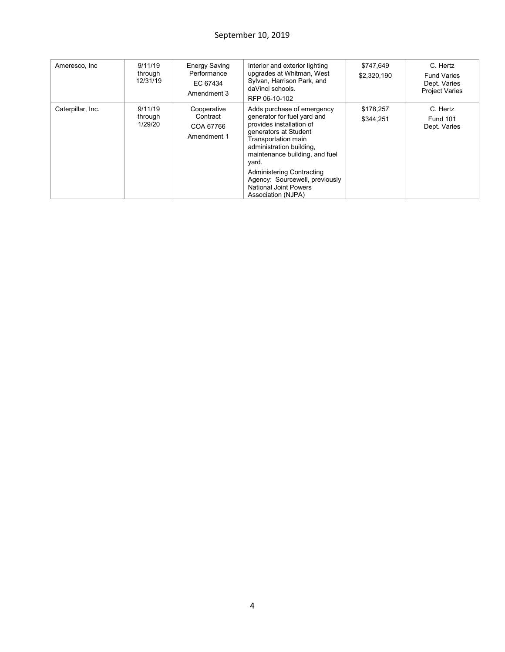# September 10, 2019

| Ameresco, Inc     | 9/11/19<br>through<br>12/31/19 | <b>Energy Saving</b><br>Performance<br>EC 67434<br>Amendment 3 | Interior and exterior lighting<br>upgrades at Whitman, West<br>Sylvan, Harrison Park, and<br>daVinci schools.<br>RFP 06-10-102                                                                                                                                                                                                           | \$747,649<br>\$2,320,190 | C. Hertz<br><b>Fund Varies</b><br>Dept. Varies<br><b>Project Varies</b> |
|-------------------|--------------------------------|----------------------------------------------------------------|------------------------------------------------------------------------------------------------------------------------------------------------------------------------------------------------------------------------------------------------------------------------------------------------------------------------------------------|--------------------------|-------------------------------------------------------------------------|
| Caterpillar, Inc. | 9/11/19<br>through<br>1/29/20  | Cooperative<br>Contract<br>COA 67766<br>Amendment 1            | Adds purchase of emergency<br>generator for fuel yard and<br>provides installation of<br>generators at Student<br>Transportation main<br>administration building,<br>maintenance building, and fuel<br>yard.<br><b>Administering Contracting</b><br>Agency: Sourcewell, previously<br><b>National Joint Powers</b><br>Association (NJPA) | \$178,257<br>\$344,251   | C. Hertz<br><b>Fund 101</b><br>Dept. Varies                             |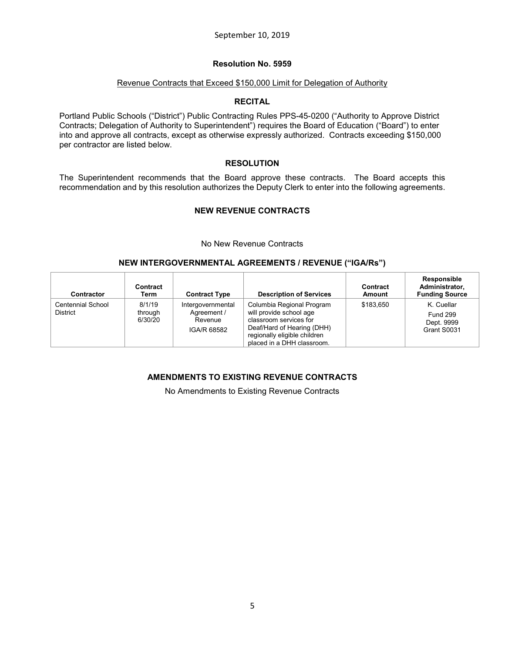## **Resolution No. 5959**

#### Revenue Contracts that Exceed \$150,000 Limit for Delegation of Authority

## **RECITAL**

Portland Public Schools ("District") Public Contracting Rules PPS-45-0200 ("Authority to Approve District Contracts; Delegation of Authority to Superintendent") requires the Board of Education ("Board") to enter into and approve all contracts, except as otherwise expressly authorized. Contracts exceeding \$150,000 per contractor are listed below.

#### **RESOLUTION**

The Superintendent recommends that the Board approve these contracts. The Board accepts this recommendation and by this resolution authorizes the Deputy Clerk to enter into the following agreements.

# **NEW REVENUE CONTRACTS**

No New Revenue Contracts

#### **NEW INTERGOVERNMENTAL AGREEMENTS / REVENUE ("IGA/Rs")**

| Contractor                           | Contract<br>Term             | <b>Contract Type</b>                                       | <b>Description of Services</b>                                                                                                                                             | Contract<br>Amount | Responsible<br>Administrator.<br><b>Funding Source</b>     |
|--------------------------------------|------------------------------|------------------------------------------------------------|----------------------------------------------------------------------------------------------------------------------------------------------------------------------------|--------------------|------------------------------------------------------------|
| Centennial School<br><b>District</b> | 8/1/19<br>through<br>6/30/20 | Intergovernmental<br>Agreement /<br>Revenue<br>IGA/R 68582 | Columbia Regional Program<br>will provide school age<br>classroom services for<br>Deaf/Hard of Hearing (DHH)<br>regionally eligible children<br>placed in a DHH classroom. | \$183.650          | K. Cuellar<br><b>Fund 299</b><br>Dept. 9999<br>Grant S0031 |

## **AMENDMENTS TO EXISTING REVENUE CONTRACTS**

No Amendments to Existing Revenue Contracts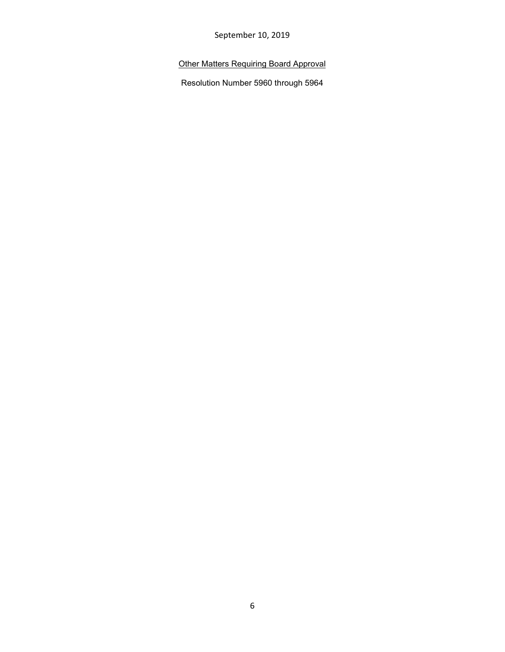September 10, 2019

# Other Matters Requiring Board Approval

Resolution Number 5960 through 5964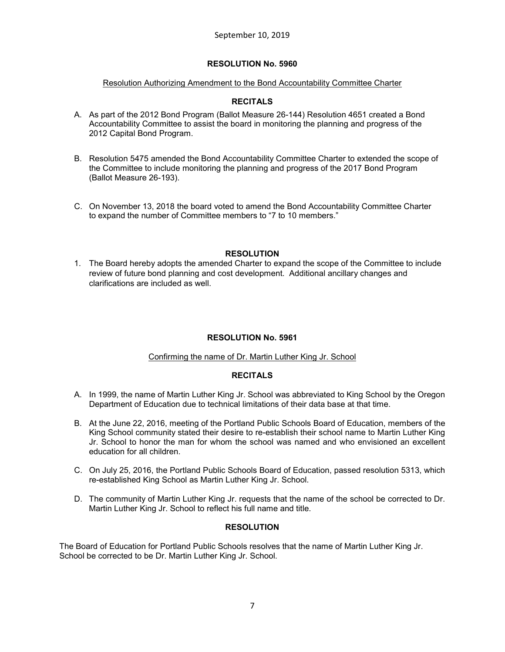## Resolution Authorizing Amendment to the Bond Accountability Committee Charter

# **RECITALS**

- A. As part of the 2012 Bond Program (Ballot Measure 26-144) Resolution 4651 created a Bond Accountability Committee to assist the board in monitoring the planning and progress of the 2012 Capital Bond Program.
- B. Resolution 5475 amended the Bond Accountability Committee Charter to extended the scope of the Committee to include monitoring the planning and progress of the 2017 Bond Program (Ballot Measure 26-193).
- C. On November 13, 2018 the board voted to amend the Bond Accountability Committee Charter to expand the number of Committee members to "7 to 10 members."

## **RESOLUTION**

1. The Board hereby adopts the amended Charter to expand the scope of the Committee to include review of future bond planning and cost development. Additional ancillary changes and clarifications are included as well.

# **RESOLUTION No. 5961**

## Confirming the name of Dr. Martin Luther King Jr. School

## **RECITALS**

- A. In 1999, the name of Martin Luther King Jr. School was abbreviated to King School by the Oregon Department of Education due to technical limitations of their data base at that time.
- B. At the June 22, 2016, meeting of the Portland Public Schools Board of Education, members of the King School community stated their desire to re-establish their school name to Martin Luther King Jr. School to honor the man for whom the school was named and who envisioned an excellent education for all children.
- C. On July 25, 2016, the Portland Public Schools Board of Education, passed resolution 5313, which re-established King School as Martin Luther King Jr. School.
- D. The community of Martin Luther King Jr. requests that the name of the school be corrected to Dr. Martin Luther King Jr. School to reflect his full name and title.

## **RESOLUTION**

The Board of Education for Portland Public Schools resolves that the name of Martin Luther King Jr. School be corrected to be Dr. Martin Luther King Jr. School.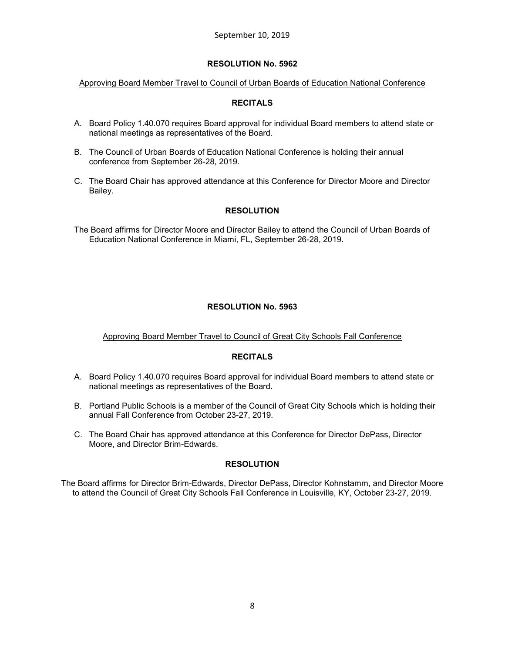Approving Board Member Travel to Council of Urban Boards of Education National Conference

# **RECITALS**

- A. Board Policy 1.40.070 requires Board approval for individual Board members to attend state or national meetings as representatives of the Board.
- B. The Council of Urban Boards of Education National Conference is holding their annual conference from September 26-28, 2019.
- C. The Board Chair has approved attendance at this Conference for Director Moore and Director Bailey.

# **RESOLUTION**

The Board affirms for Director Moore and Director Bailey to attend the Council of Urban Boards of Education National Conference in Miami, FL, September 26-28, 2019.

# **RESOLUTION No. 5963**

## Approving Board Member Travel to Council of Great City Schools Fall Conference

## **RECITALS**

- A. Board Policy 1.40.070 requires Board approval for individual Board members to attend state or national meetings as representatives of the Board.
- B. Portland Public Schools is a member of the Council of Great City Schools which is holding their annual Fall Conference from October 23-27, 2019.
- C. The Board Chair has approved attendance at this Conference for Director DePass, Director Moore, and Director Brim-Edwards.

## **RESOLUTION**

The Board affirms for Director Brim-Edwards, Director DePass, Director Kohnstamm, and Director Moore to attend the Council of Great City Schools Fall Conference in Louisville, KY, October 23-27, 2019.